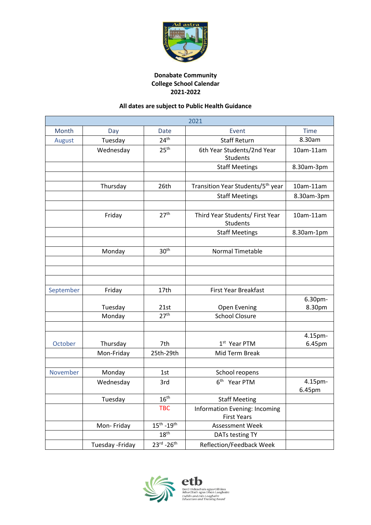

## **Donabate Community College School Calendar 2021-2022**

## **All dates are subject to Public Health Guidance**

| 2021      |                  |                          |                                                     |                   |  |  |
|-----------|------------------|--------------------------|-----------------------------------------------------|-------------------|--|--|
| Month     | Day              | Date                     | Event                                               | <b>Time</b>       |  |  |
| August    | Tuesday          | 24 <sup>th</sup>         | <b>Staff Return</b>                                 | 8.30am            |  |  |
|           | Wednesday        | 25 <sup>th</sup>         | 6th Year Students/2nd Year<br><b>Students</b>       | 10am-11am         |  |  |
|           |                  |                          | <b>Staff Meetings</b>                               | 8.30am-3pm        |  |  |
|           |                  |                          |                                                     |                   |  |  |
|           | Thursday         | 26th                     | Transition Year Students/5 <sup>th</sup> year       | 10am-11am         |  |  |
|           |                  |                          | <b>Staff Meetings</b>                               | 8.30am-3pm        |  |  |
|           |                  |                          |                                                     |                   |  |  |
|           | Friday           | 27 <sup>th</sup>         | Third Year Students/ First Year<br><b>Students</b>  | 10am-11am         |  |  |
|           |                  |                          | <b>Staff Meetings</b>                               | 8.30am-1pm        |  |  |
|           |                  |                          |                                                     |                   |  |  |
|           | Monday           | 30 <sup>th</sup>         | <b>Normal Timetable</b>                             |                   |  |  |
|           |                  |                          |                                                     |                   |  |  |
|           |                  |                          |                                                     |                   |  |  |
|           |                  |                          |                                                     |                   |  |  |
| September | Friday           | 17th                     | <b>First Year Breakfast</b>                         |                   |  |  |
|           |                  |                          |                                                     | 6.30pm-           |  |  |
|           | Tuesday          | 21st<br>27 <sup>th</sup> | <b>Open Evening</b><br><b>School Closure</b>        | 8.30pm            |  |  |
|           | Monday           |                          |                                                     |                   |  |  |
|           |                  |                          |                                                     |                   |  |  |
| October   | Thursday         | 7th                      | 1 <sup>st</sup> Year PTM                            | 4.15pm-<br>6.45pm |  |  |
|           | Mon-Friday       | 25th-29th                | Mid Term Break                                      |                   |  |  |
|           |                  |                          |                                                     |                   |  |  |
| November  | Monday           | 1st                      | School reopens                                      |                   |  |  |
|           | Wednesday        | 3rd                      | 6 <sup>th</sup> Year PTM                            | 4.15pm-           |  |  |
|           |                  |                          |                                                     | 6.45pm            |  |  |
|           | Tuesday          | 16 <sup>th</sup>         | <b>Staff Meeting</b>                                |                   |  |  |
|           |                  | <b>TBC</b>               | Information Evening: Incoming<br><b>First Years</b> |                   |  |  |
|           | Mon-Friday       | $15^{th} - 19^{th}$      | Assessment Week                                     |                   |  |  |
|           |                  | 18 <sup>th</sup>         | DATs testing TY                                     |                   |  |  |
|           | Tuesday - Friday | $23^{rd} - 26^{th}$      | Reflection/Feedback Week                            |                   |  |  |



etb Bord Oideachais agus Oiliúna<br>Átha Cliath agus Dhún Laoghaire<br>*Dublin and Dún Laoghaire<br>Education and Training Board*